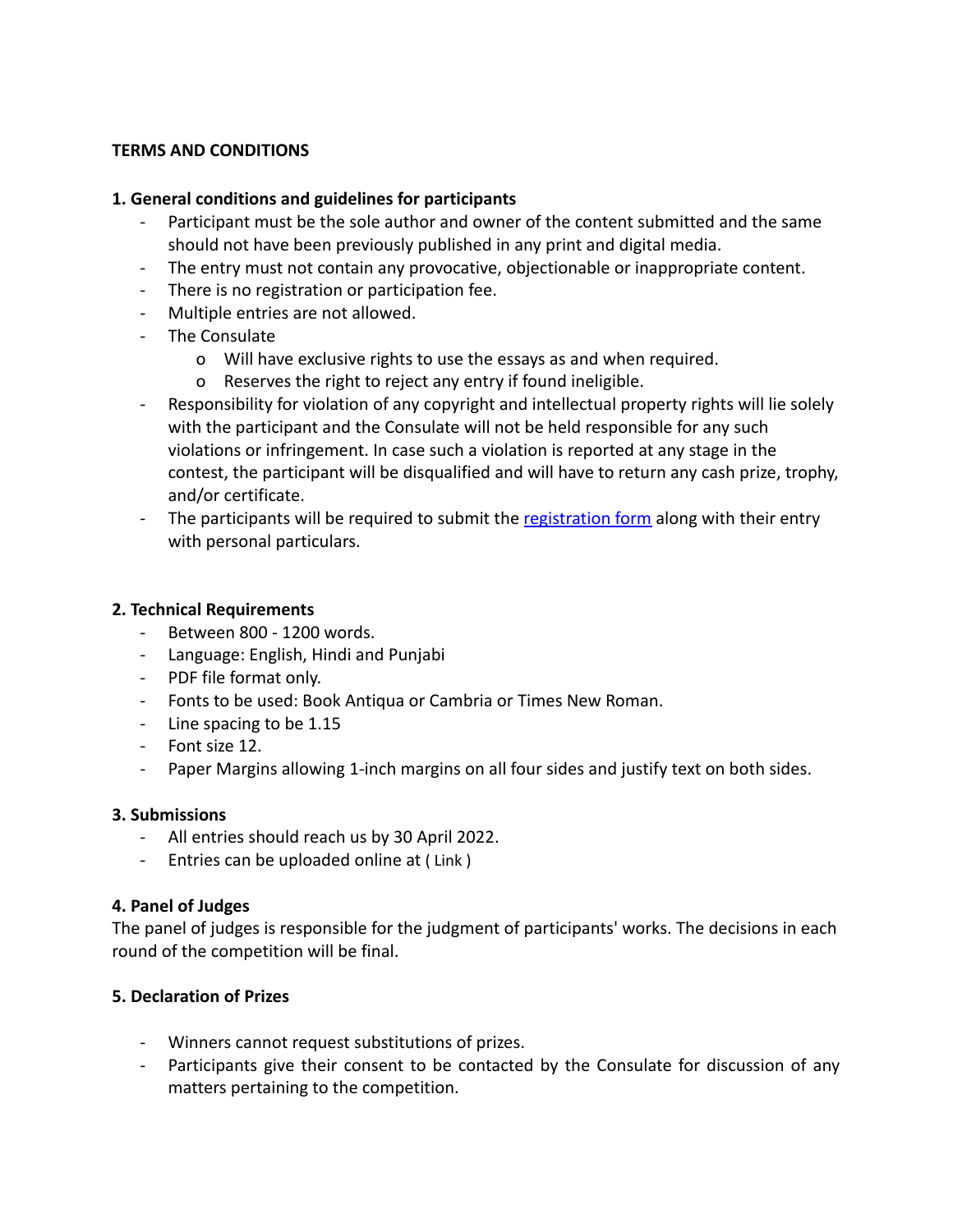## **TERMS AND CONDITIONS**

#### **1. General conditions and guidelines for participants**

- Participant must be the sole author and owner of the content submitted and the same should not have been previously published in any print and digital media.
- The entry must not contain any provocative, objectionable or inappropriate content.
- There is no registration or participation fee.
- Multiple entries are not allowed.
- The Consulate
	- o Will have exclusive rights to use the essays as and when required.
	- o Reserves the right to reject any entry if found ineligible.
- Responsibility for violation of any copyright and intellectual property rights will lie solely with the participant and the Consulate will not be held responsible for any such violations or infringement. In case such a violation is reported at any stage in the contest, the participant will be disqualified and will have to return any cash prize, trophy, and/or certificate.
- The participants will be required to submit the [registration](https://www.cgitoronto.gov.in/competition_register.php?cat=essay) form along with their entry with personal particulars.

## **2. Technical Requirements**

- Between 800 1200 words.
- Language: English, Hindi and Punjabi
- PDF file format only.
- Fonts to be used: Book Antiqua or Cambria or Times New Roman.
- Line spacing to be 1.15
- Font size 12.
- Paper Margins allowing 1-inch margins on all four sides and justify text on both sides.

#### **3. Submissions**

- All entries should reach us by 30 April 2022.
- Entries can be uploaded online at ( Link )

#### **4. Panel of Judges**

The panel of judges is responsible for the judgment of participants' works. The decisions in each round of the competition will be final.

#### **5. Declaration of Prizes**

- Winners cannot request substitutions of prizes.
- Participants give their consent to be contacted by the Consulate for discussion of any matters pertaining to the competition.